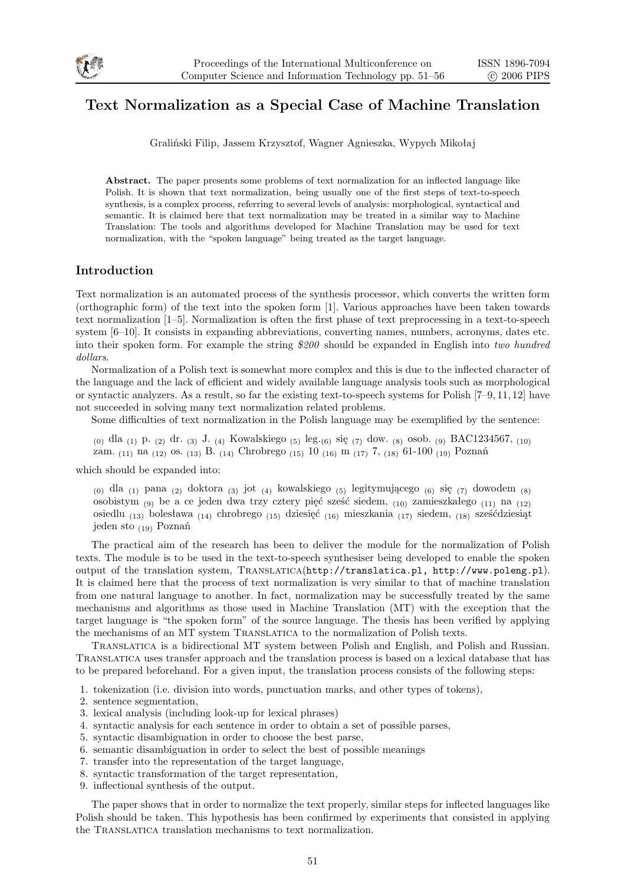

# **Text Normalization as a Special Case of Machine Translation**

Graliński Filip, Jassem Krzysztof, Wagner Agnieszka, Wypych Mikołaj

**Abstract.** The paper presents some problems of text normalization for an inflected language like Polish. It is shown that text normalization, being usually one of the first steps of text-to-speech synthesis, is a complex process, referring to several levels of analysis: morphological, syntactical and semantic. It is claimed here that text normalization may be treated in a similar way to Machine Translation: The tools and algorithms developed for Machine Translation may be used for text normalization, with the "spoken language" being treated as the target language.

## **Introduction**

Text normalization is an automated process of the synthesis processor, which converts the written form (orthographic form) of the text into the spoken form [1]. Various approaches have been taken towards text normalization [1–5]. Normalization is often the first phase of text preprocessing in a text-to-speech system [6–10]. It consists in expanding abbreviations, converting names, numbers, acronyms, dates etc. into their spoken form. For example the string *\$200* should be expanded in English into *two hundred dollars*.

Normalization of a Polish text is somewhat more complex and this is due to the inflected character of the language and the lack of efficient and widely available language analysis tools such as morphological or syntactic analyzers. As a result, so far the existing text-to-speech systems for Polish [7–9, 11, 12] have not succeeded in solving many text normalization related problems.

Some difficulties of text normalization in the Polish language may be exemplified by the sentence:

(0) dla (1) p. (2) dr. (3) J. (4) Kowalskiego (5) leg.(6) się (7) dow. (8) osob. (9) BAC1234567, (10) zam. (11) na (12) os. (13) B. (14) Chrobrego (15) 10 (16) m (17) 7, (18) 61-100 (19) Poznań

which should be expanded into:

 $(0)$ dla $(1)$ pana $(2)$ doktora $(3)$ jot $(4)$ kowalskiego $(5)$ legitymującego  $(6)$ się $(7)$ dowodem  $(8)$ osobistym (9) be a ce jeden dwa trzy cztery pięć sześć siedem, (10) zamieszkałego (11) na (12) osiedlu (13) bolesława (14) chrobrego (15) dziesięć (16) mieszkania (17) siedem, (18) sześćdziesiąt jeden sto (19) Poznań

The practical aim of the research has been to deliver the module for the normalization of Polish texts. The module is to be used in the text-to-speech synthesiser being developed to enable the spoken output of the translation system, Translatica(http://translatica.pl, http://www.poleng.pl). It is claimed here that the process of text normalization is very similar to that of machine translation from one natural language to another. In fact, normalization may be successfully treated by the same mechanisms and algorithms as those used in Machine Translation (MT) with the exception that the target language is "the spoken form" of the source language. The thesis has been verified by applying the mechanisms of an MT system Translatica to the normalization of Polish texts.

Translatica is a bidirectional MT system between Polish and English, and Polish and Russian. Translatica uses transfer approach and the translation process is based on a lexical database that has to be prepared beforehand. For a given input, the translation process consists of the following steps:

1. tokenization (i.e. division into words, punctuation marks, and other types of tokens),

- 2. sentence segmentation,
- 3. lexical analysis (including look-up for lexical phrases)
- 4. syntactic analysis for each sentence in order to obtain a set of possible parses,
- 5. syntactic disambiguation in order to choose the best parse,
- 6. semantic disambiguation in order to select the best of possible meanings
- 7. transfer into the representation of the target language,
- 8. syntactic transformation of the target representation,
- 9. inflectional synthesis of the output.

The paper shows that in order to normalize the text properly, similar steps for inflected languages like Polish should be taken. This hypothesis has been confirmed by experiments that consisted in applying the Translatica translation mechanisms to text normalization.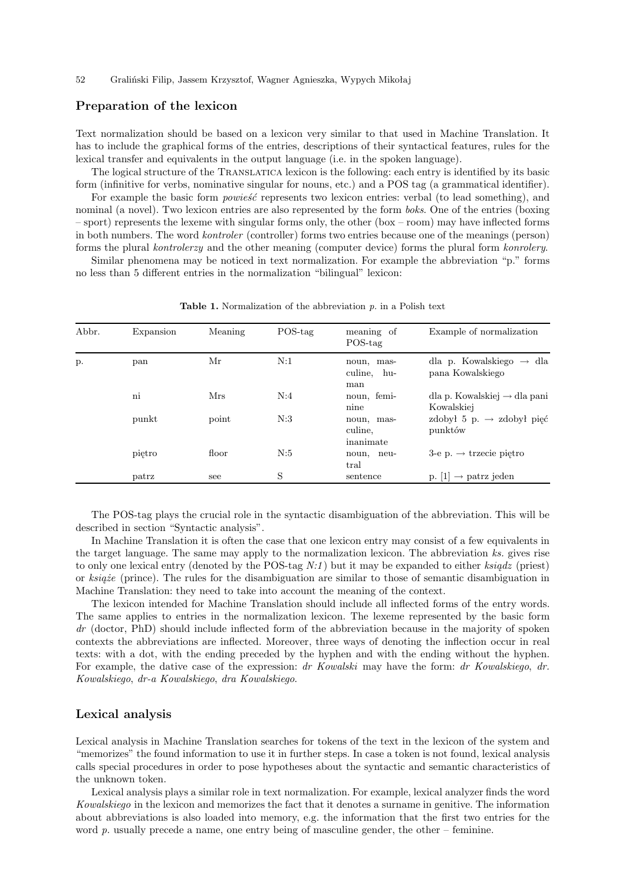### **Preparation of the lexicon**

Text normalization should be based on a lexicon very similar to that used in Machine Translation. It has to include the graphical forms of the entries, descriptions of their syntactical features, rules for the lexical transfer and equivalents in the output language (i.e. in the spoken language).

The logical structure of the Translatica lexicon is the following: each entry is identified by its basic form (infinitive for verbs, nominative singular for nouns, etc.) and a POS tag (a grammatical identifier).

For example the basic form *powieść* represents two lexicon entries: verbal (to lead something), and nominal (a novel). Two lexicon entries are also represented by the form *boks*. One of the entries (boxing – sport) represents the lexeme with singular forms only, the other (box – room) may have inflected forms in both numbers. The word *kontroler* (controller) forms two entries because one of the meanings (person) forms the plural *kontrolerzy* and the other meaning (computer device) forms the plural form *konrolery*.

Similar phenomena may be noticed in text normalization. For example the abbreviation "p." forms no less than 5 different entries in the normalization "bilingual" lexicon:

| Abbr. | Expansion | Meaning | $POS$ -tag | meaning of<br>$POS$ -tag           | Example of normalization                                 |
|-------|-----------|---------|------------|------------------------------------|----------------------------------------------------------|
| p.    | pan       | Mr      | N:1        | noun, mas-<br>culine, hu-<br>man   | dla p. Kowalskiego $\rightarrow$ dla<br>pana Kowalskiego |
|       | ni        | Mrs     | N:4        | noun, femi-<br>nine                | dla p. Kowalskiej $\rightarrow$ dla pani<br>Kowalskiej   |
|       | punkt     | point   | N:3        | noun, mas-<br>culine,<br>inanimate | zdobył 5 p. $\rightarrow$ zdobył pięć<br>punktów         |
|       | pietro    | floor   | N:5        | noun, neu-<br>tral                 | $3-e$ p. $\rightarrow$ trzecie pietro                    |
|       | patrz     | see     | S          | sentence                           | p. $ 1  \rightarrow$ patrz jeden                         |

**Table 1.** Normalization of the abbreviation *p.* in a Polish text

The POS-tag plays the crucial role in the syntactic disambiguation of the abbreviation. This will be described in section "Syntactic analysis".

In Machine Translation it is often the case that one lexicon entry may consist of a few equivalents in the target language. The same may apply to the normalization lexicon. The abbreviation *ks.* gives rise to only one lexical entry (denoted by the POS-tag *N:1*) but it may be expanded to either *ksiądz* (priest) or *książe* (prince). The rules for the disambiguation are similar to those of semantic disambiguation in Machine Translation: they need to take into account the meaning of the context.

The lexicon intended for Machine Translation should include all inflected forms of the entry words. The same applies to entries in the normalization lexicon. The lexeme represented by the basic form dr (doctor, PhD) should include inflected form of the abbreviation because in the majority of spoken contexts the abbreviations are inflected. Moreover, three ways of denoting the inflection occur in real texts: with a dot, with the ending preceded by the hyphen and with the ending without the hyphen. For example, the dative case of the expression: *dr Kowalski* may have the form: *dr Kowalskiego*, *dr. Kowalskiego*, *dr-a Kowalskiego*, *dra Kowalskiego*.

#### **Lexical analysis**

Lexical analysis in Machine Translation searches for tokens of the text in the lexicon of the system and "memorizes" the found information to use it in further steps. In case a token is not found, lexical analysis calls special procedures in order to pose hypotheses about the syntactic and semantic characteristics of the unknown token.

Lexical analysis plays a similar role in text normalization. For example, lexical analyzer finds the word *Kowalskiego* in the lexicon and memorizes the fact that it denotes a surname in genitive. The information about abbreviations is also loaded into memory, e.g. the information that the first two entries for the word *p*. usually precede a name, one entry being of masculine gender, the other – feminine.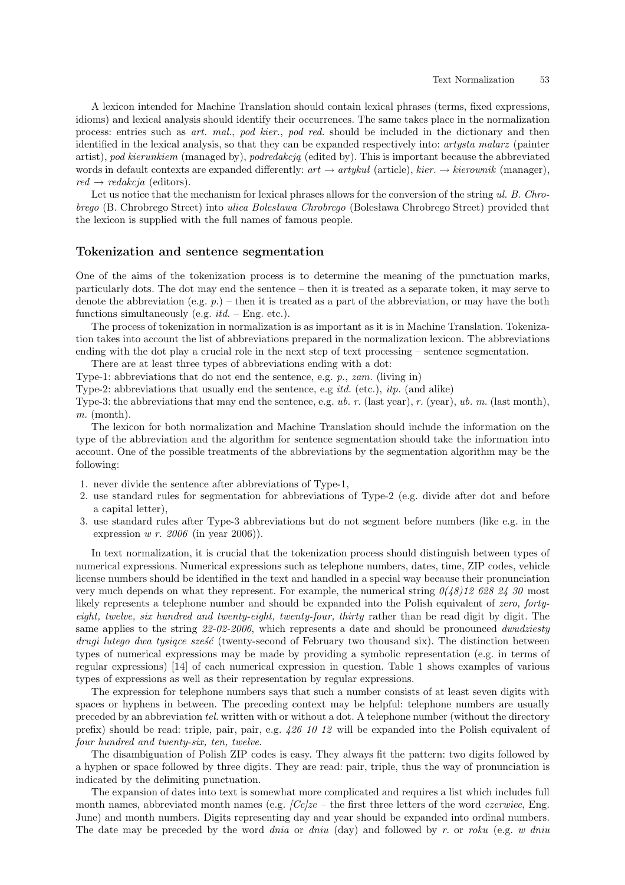A lexicon intended for Machine Translation should contain lexical phrases (terms, fixed expressions, idioms) and lexical analysis should identify their occurrences. The same takes place in the normalization process: entries such as *art. mal.*, *pod kier.*, *pod red.* should be included in the dictionary and then identified in the lexical analysis, so that they can be expanded respectively into: *artysta malarz* (painter artist), *pod kierunkiem* (managed by), *podredakcją* (edited by). This is important because the abbreviated words in default contexts are expanded differently:  $art \rightarrow artykul$  (article),  $kier. \rightarrow kierounik$  (manager),  $red \rightarrow redakcja$  (editors).

Let us notice that the mechanism for lexical phrases allows for the conversion of the string *ul. B. Chrobrego* (B. Chrobrego Street) into *ulica Bolesława Chrobrego* (Bolesława Chrobrego Street) provided that the lexicon is supplied with the full names of famous people.

### **Tokenization and sentence segmentation**

One of the aims of the tokenization process is to determine the meaning of the punctuation marks, particularly dots. The dot may end the sentence – then it is treated as a separate token, it may serve to denote the abbreviation (e.g.  $p$ .) – then it is treated as a part of the abbreviation, or may have the both functions simultaneously (e.g. *itd.* – Eng. etc.).

The process of tokenization in normalization is as important as it is in Machine Translation. Tokenization takes into account the list of abbreviations prepared in the normalization lexicon. The abbreviations ending with the dot play a crucial role in the next step of text processing – sentence segmentation.

There are at least three types of abbreviations ending with a dot:

Type-1: abbreviations that do not end the sentence, e.g. *p.*, *zam.* (living in)

Type-2: abbreviations that usually end the sentence, e.g *itd.* (etc.), *itp.* (and alike)

Type-3: the abbreviations that may end the sentence, e.g. *ub. r.* (last year), *r.* (year), *ub. m.* (last month), *m.* (month).

The lexicon for both normalization and Machine Translation should include the information on the type of the abbreviation and the algorithm for sentence segmentation should take the information into account. One of the possible treatments of the abbreviations by the segmentation algorithm may be the following:

- 1. never divide the sentence after abbreviations of Type-1,
- 2. use standard rules for segmentation for abbreviations of Type-2 (e.g. divide after dot and before a capital letter),
- 3. use standard rules after Type-3 abbreviations but do not segment before numbers (like e.g. in the expression *w r. 2006* (in year 2006)).

In text normalization, it is crucial that the tokenization process should distinguish between types of numerical expressions. Numerical expressions such as telephone numbers, dates, time, ZIP codes, vehicle license numbers should be identified in the text and handled in a special way because their pronunciation very much depends on what they represent. For example, the numerical string *0(48)12 628 24 30* most likely represents a telephone number and should be expanded into the Polish equivalent of *zero, fortyeight, twelve, six hundred and twenty-eight, twenty-four, thirty* rather than be read digit by digit. The same applies to the string *22-02-2006*, which represents a date and should be pronounced *dwudziesty drugi lutego dwa tysiące sześć* (twenty-second of February two thousand six). The distinction between types of numerical expressions may be made by providing a symbolic representation (e.g. in terms of regular expressions) [14] of each numerical expression in question. Table 1 shows examples of various types of expressions as well as their representation by regular expressions.

The expression for telephone numbers says that such a number consists of at least seven digits with spaces or hyphens in between. The preceding context may be helpful: telephone numbers are usually preceded by an abbreviation *tel.* written with or without a dot. A telephone number (without the directory prefix) should be read: triple, pair, pair, e.g. *426 10 12* will be expanded into the Polish equivalent of *four hundred and twenty-six, ten, twelve*.

The disambiguation of Polish ZIP codes is easy. They always fit the pattern: two digits followed by a hyphen or space followed by three digits. They are read: pair, triple, thus the way of pronunciation is indicated by the delimiting punctuation.

The expansion of dates into text is somewhat more complicated and requires a list which includes full month names, abbreviated month names (e.g. *[Cc]ze* – the first three letters of the word *czerwiec*, Eng. June) and month numbers. Digits representing day and year should be expanded into ordinal numbers. The date may be preceded by the word *dnia* or *dniu* (day) and followed by *r.* or *roku* (e.g. *w dniu*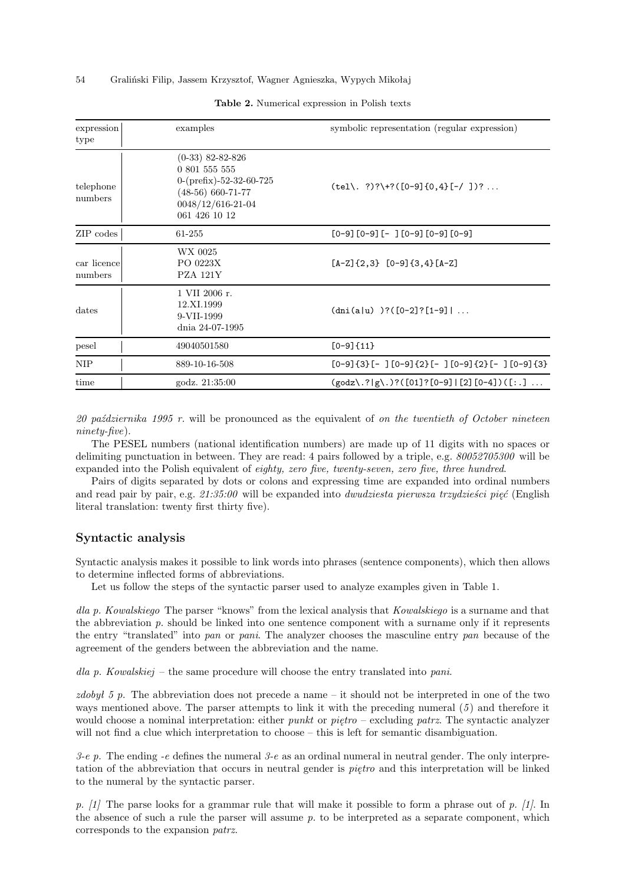#### 54 Graliński Filip, Jassem Krzysztof, Wagner Agnieszka, Wypych Mikołaj

| expression<br>type                                                    | examples                                                                                                                             | symbolic representation (regular expression)        |  |
|-----------------------------------------------------------------------|--------------------------------------------------------------------------------------------------------------------------------------|-----------------------------------------------------|--|
| telephone<br>numbers                                                  | $(0-33)$ 82-82-826<br>0 801 555 555<br>$0-(\text{prefix})-52-32-60-725$<br>$(48-56)$ 660-71-77<br>0048/12/616-21-04<br>061 426 10 12 | $(tel\$ . ?)?\+?([0-9]{0,4}[-/])?                   |  |
| ZIP codes                                                             | 61-255                                                                                                                               | $[0-9] [0-9] [- ] [0-9] [0-9] [0-9]$                |  |
| car licence<br>numbers                                                | WX 0025<br>PO 0223X<br>PZA 121Y                                                                                                      | $[A-Z]\{2,3\}$ $[0-9]\{3,4\}$ $[A-Z]$               |  |
| 1 VII 2006 r.<br>12.XI.1999<br>dates<br>9-VII-1999<br>dnia 24-07-1995 |                                                                                                                                      | $(dni(a u))$ ? ( $[0-2]$ ? $[1-9]$                  |  |
| pesel                                                                 | 49040501580                                                                                                                          | $[0-9]$ {11}                                        |  |
| NIP                                                                   | 889-10-16-508                                                                                                                        | $[0-9]{3}[-1[0-9]{2}[-10-9] -10-9]{2}[-10-9]$       |  |
| time                                                                  | godz. 21:35:00                                                                                                                       | $(godz\,2 g\).$ ? ([01] ? [0-9]   [2] [0-4] ) ([:.] |  |

#### **Table 2.** Numerical expression in Polish texts

*20 października 1995 r.* will be pronounced as the equivalent of *on the twentieth of October nineteen ninety-five*).

The PESEL numbers (national identification numbers) are made up of 11 digits with no spaces or delimiting punctuation in between. They are read: 4 pairs followed by a triple, e.g. *80052705300* will be expanded into the Polish equivalent of *eighty, zero five, twenty-seven, zero five, three hundred*.

Pairs of digits separated by dots or colons and expressing time are expanded into ordinal numbers and read pair by pair, e.g. *21:35:00* will be expanded into *dwudziesta pierwsza trzydzieści pięć* (English literal translation: twenty first thirty five).

#### **Syntactic analysis**

Syntactic analysis makes it possible to link words into phrases (sentence components), which then allows to determine inflected forms of abbreviations.

Let us follow the steps of the syntactic parser used to analyze examples given in Table 1.

*dla p. Kowalskiego* The parser "knows" from the lexical analysis that *Kowalskiego* is a surname and that the abbreviation *p.* should be linked into one sentence component with a surname only if it represents the entry "translated" into *pan* or *pani*. The analyzer chooses the masculine entry *pan* because of the agreement of the genders between the abbreviation and the name.

*dla p. Kowalskiej* – the same procedure will choose the entry translated into *pani*.

*zdobył 5 p.* The abbreviation does not precede a name – it should not be interpreted in one of the two ways mentioned above. The parser attempts to link it with the preceding numeral (*5*) and therefore it would choose a nominal interpretation: either *punkt* or *piętro* – excluding *patrz*. The syntactic analyzer will not find a clue which interpretation to choose – this is left for semantic disambiguation.

*3-e p.* The ending *-e* defines the numeral *3-e* as an ordinal numeral in neutral gender. The only interpretation of the abbreviation that occurs in neutral gender is *piętro* and this interpretation will be linked to the numeral by the syntactic parser.

*p. [1]* The parse looks for a grammar rule that will make it possible to form a phrase out of *p. [1]*. In the absence of such a rule the parser will assume *p.* to be interpreted as a separate component, which corresponds to the expansion *patrz*.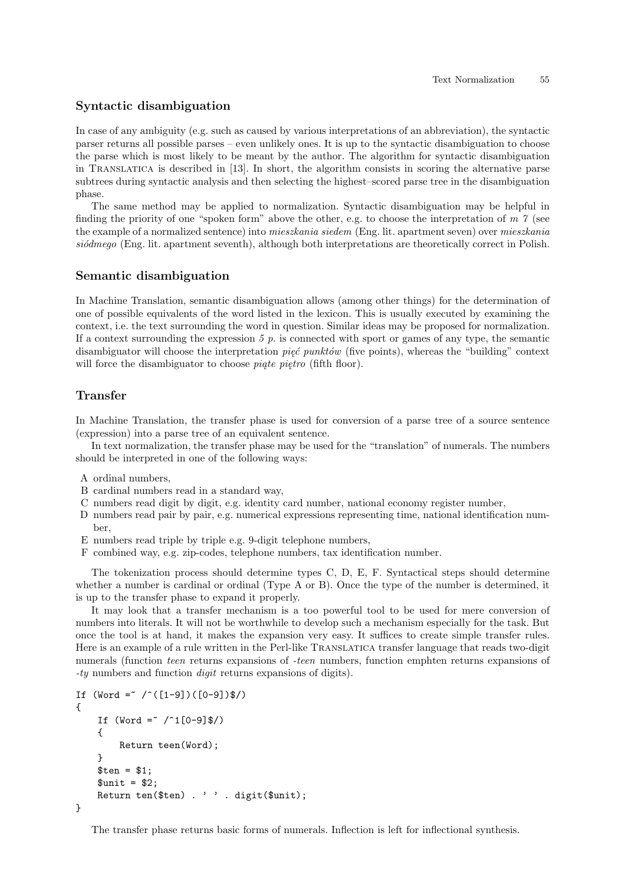#### **Syntactic disambiguation**

In case of any ambiguity (e.g. such as caused by various interpretations of an abbreviation), the syntactic parser returns all possible parses – even unlikely ones. It is up to the syntactic disambiguation to choose the parse which is most likely to be meant by the author. The algorithm for syntactic disambiguation in Translatica is described in [13]. In short, the algorithm consists in scoring the alternative parse subtrees during syntactic analysis and then selecting the highest–scored parse tree in the disambiguation phase.

The same method may be applied to normalization. Syntactic disambiguation may be helpful in finding the priority of one "spoken form" above the other, e.g. to choose the interpretation of *m 7* (see the example of a normalized sentence) into *mieszkania siedem* (Eng. lit. apartment seven) over *mieszkania siódmego* (Eng. lit. apartment seventh), although both interpretations are theoretically correct in Polish.

#### **Semantic disambiguation**

In Machine Translation, semantic disambiguation allows (among other things) for the determination of one of possible equivalents of the word listed in the lexicon. This is usually executed by examining the context, i.e. the text surrounding the word in question. Similar ideas may be proposed for normalization. If a context surrounding the expression  $5$   $p$ , is connected with sport or games of any type, the semantic disambiguator will choose the interpretation *pięć punktów* (five points), whereas the "building" context will force the disambiguator to choose *piąte piętro* (fifth floor).

### **Transfer**

In Machine Translation, the transfer phase is used for conversion of a parse tree of a source sentence (expression) into a parse tree of an equivalent sentence.

In text normalization, the transfer phase may be used for the "translation" of numerals. The numbers should be interpreted in one of the following ways:

- A ordinal numbers,
- B cardinal numbers read in a standard way,
- C numbers read digit by digit, e.g. identity card number, national economy register number,
- D numbers read pair by pair, e.g. numerical expressions representing time, national identification number,
- E numbers read triple by triple e.g. 9-digit telephone numbers,
- F combined way, e.g. zip-codes, telephone numbers, tax identification number.

The tokenization process should determine types C, D, E, F. Syntactical steps should determine whether a number is cardinal or ordinal (Type A or B). Once the type of the number is determined, it is up to the transfer phase to expand it properly.

It may look that a transfer mechanism is a too powerful tool to be used for mere conversion of numbers into literals. It will not be worthwhile to develop such a mechanism especially for the task. But once the tool is at hand, it makes the expansion very easy. It suffices to create simple transfer rules. Here is an example of a rule written in the Perl-like Translatica transfer language that reads two-digit numerals (function *teen* returns expansions of *-teen* numbers, function emphten returns expansions of *-ty* numbers and function *digit* returns expansions of digits).

```
If (Word = \sim / \cdot ([1-9])([0-9])\{
    If (Word = 7/1[0-9]$/)
    {
        Return teen(Word);
    }
    $ten = $1;$unit = $2;Return ten($ten) . ' ' . digit($unit);
}
```
The transfer phase returns basic forms of numerals. Inflection is left for inflectional synthesis.